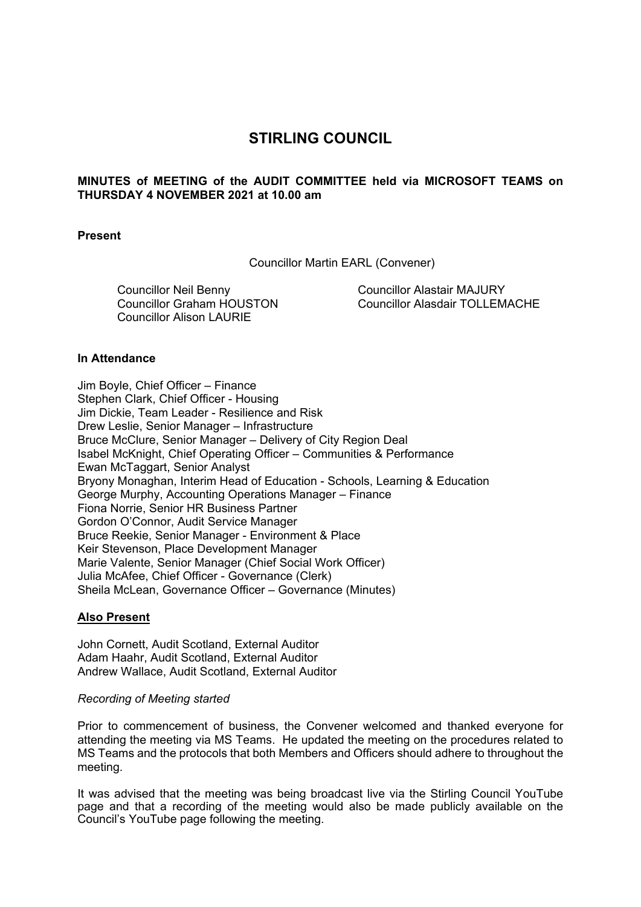# **STIRLING COUNCIL**

# **MINUTES of MEETING of the AUDIT COMMITTEE held via MICROSOFT TEAMS on THURSDAY 4 NOVEMBER 2021 at 10.00 am**

### **Present**

Councillor Martin EARL (Convener)

Councillor Neil Benny Councillor Graham HOUSTON Councillor Alison LAURIE

Councillor Alastair MAJURY Councillor Alasdair TOLLEMACHE

### **In Attendance**

Jim Boyle, Chief Officer – Finance Stephen Clark, Chief Officer - Housing Jim Dickie, Team Leader - Resilience and Risk Drew Leslie, Senior Manager – Infrastructure Bruce McClure, Senior Manager – Delivery of City Region Deal Isabel McKnight, Chief Operating Officer – Communities & Performance Ewan McTaggart, Senior Analyst Bryony Monaghan, Interim Head of Education - Schools, Learning & Education George Murphy, Accounting Operations Manager – Finance Fiona Norrie, Senior HR Business Partner Gordon O'Connor, Audit Service Manager Bruce Reekie, Senior Manager - Environment & Place Keir Stevenson, Place Development Manager Marie Valente, Senior Manager (Chief Social Work Officer) Julia McAfee, Chief Officer - Governance (Clerk) Sheila McLean, Governance Officer – Governance (Minutes)

### **Also Present**

John Cornett, Audit Scotland, External Auditor Adam Haahr, Audit Scotland, External Auditor Andrew Wallace, Audit Scotland, External Auditor

### *Recording of Meeting started*

Prior to commencement of business, the Convener welcomed and thanked everyone for attending the meeting via MS Teams. He updated the meeting on the procedures related to MS Teams and the protocols that both Members and Officers should adhere to throughout the meeting.

It was advised that the meeting was being broadcast live via the Stirling Council YouTube page and that a recording of the meeting would also be made publicly available on the Council's YouTube page following the meeting.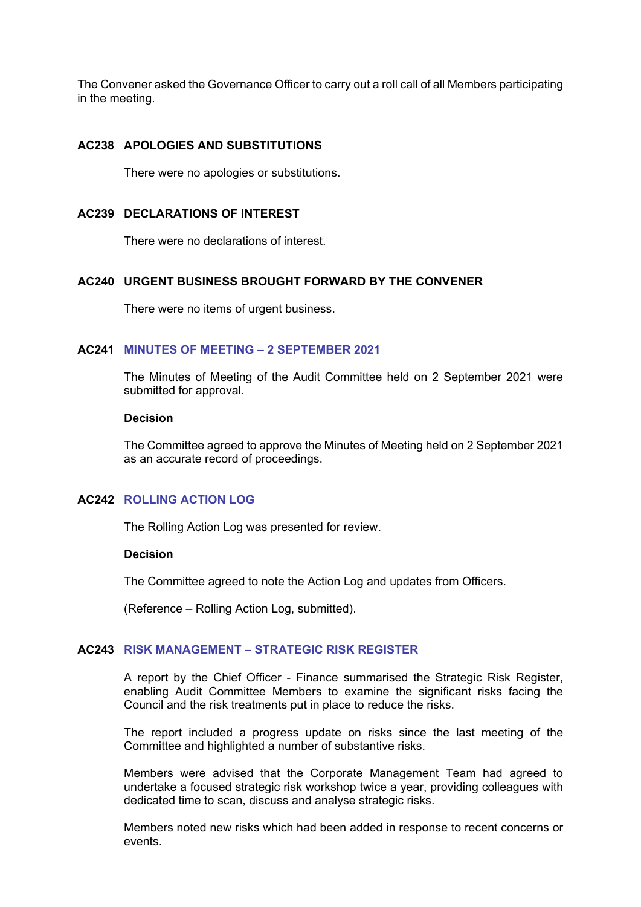The Convener asked the Governance Officer to carry out a roll call of all Members participating in the meeting.

### **AC238 APOLOGIES AND SUBSTITUTIONS**

There were no apologies or substitutions.

# **AC239 DECLARATIONS OF INTEREST**

There were no declarations of interest.

### **AC240 URGENT BUSINESS BROUGHT FORWARD BY THE CONVENER**

There were no items of urgent business.

### **AC241 MINUTES OF MEETING – 2 SEPTEMBER 2021**

The Minutes of Meeting of the Audit Committee held on 2 September 2021 were submitted for approval.

# **Decision**

The Committee agreed to approve the Minutes of Meeting held on 2 September 2021 as an accurate record of proceedings.

### **AC242 ROLLING ACTION LOG**

The Rolling Action Log was presented for review.

### **Decision**

The Committee agreed to note the Action Log and updates from Officers.

(Reference – Rolling Action Log, submitted).

# **AC243 RISK MANAGEMENT – STRATEGIC RISK REGISTER**

A report by the Chief Officer - Finance summarised the Strategic Risk Register, enabling Audit Committee Members to examine the significant risks facing the Council and the risk treatments put in place to reduce the risks.

The report included a progress update on risks since the last meeting of the Committee and highlighted a number of substantive risks.

Members were advised that the Corporate Management Team had agreed to undertake a focused strategic risk workshop twice a year, providing colleagues with dedicated time to scan, discuss and analyse strategic risks.

Members noted new risks which had been added in response to recent concerns or events.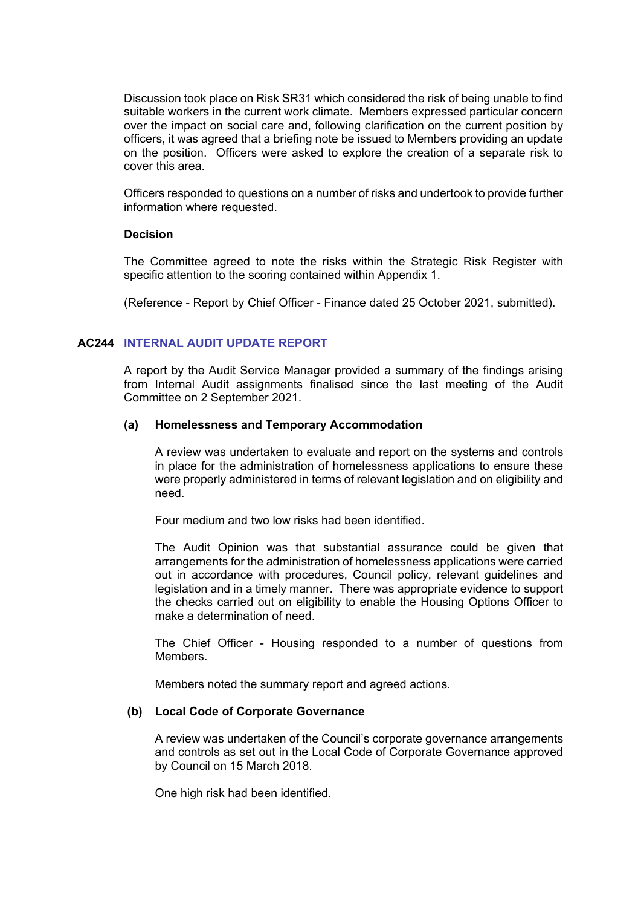Discussion took place on Risk SR31 which considered the risk of being unable to find suitable workers in the current work climate. Members expressed particular concern over the impact on social care and, following clarification on the current position by officers, it was agreed that a briefing note be issued to Members providing an update on the position. Officers were asked to explore the creation of a separate risk to cover this area.

Officers responded to questions on a number of risks and undertook to provide further information where requested.

# **Decision**

The Committee agreed to note the risks within the Strategic Risk Register with specific attention to the scoring contained within Appendix 1.

(Reference - Report by Chief Officer - Finance dated 25 October 2021, submitted).

# **AC244 INTERNAL AUDIT UPDATE REPORT**

A report by the Audit Service Manager provided a summary of the findings arising from Internal Audit assignments finalised since the last meeting of the Audit Committee on 2 September 2021.

# **(a) Homelessness and Temporary Accommodation**

A review was undertaken to evaluate and report on the systems and controls in place for the administration of homelessness applications to ensure these were properly administered in terms of relevant legislation and on eligibility and need.

Four medium and two low risks had been identified.

The Audit Opinion was that substantial assurance could be given that arrangements for the administration of homelessness applications were carried out in accordance with procedures, Council policy, relevant guidelines and legislation and in a timely manner. There was appropriate evidence to support the checks carried out on eligibility to enable the Housing Options Officer to make a determination of need.

The Chief Officer - Housing responded to a number of questions from Members.

Members noted the summary report and agreed actions.

### **(b) Local Code of Corporate Governance**

A review was undertaken of the Council's corporate governance arrangements and controls as set out in the Local Code of Corporate Governance approved by Council on 15 March 2018.

One high risk had been identified.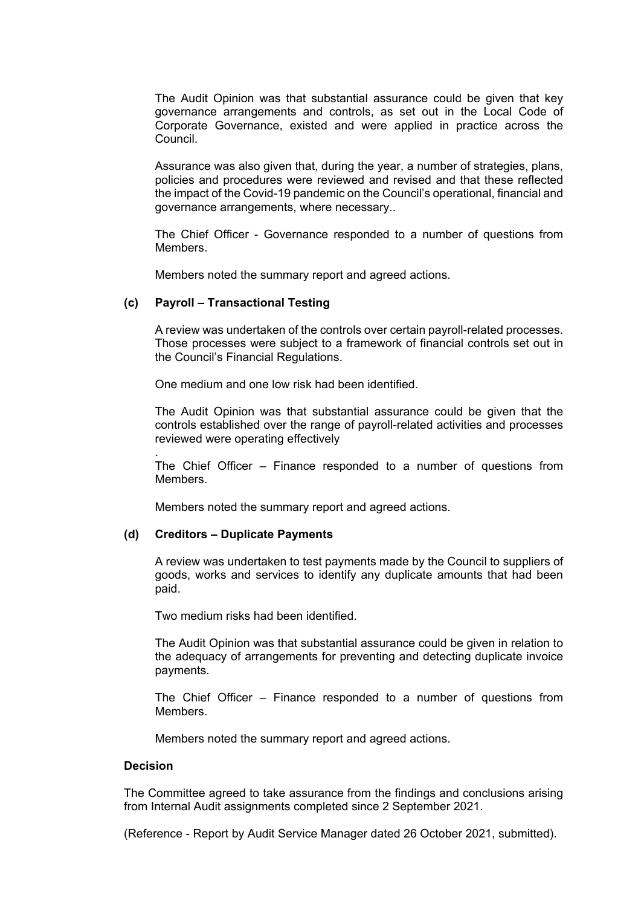The Audit Opinion was that substantial assurance could be given that key governance arrangements and controls, as set out in the Local Code of Corporate Governance, existed and were applied in practice across the Council.

Assurance was also given that, during the year, a number of strategies, plans, policies and procedures were reviewed and revised and that these reflected the impact of the Covid-19 pandemic on the Council's operational, financial and governance arrangements, where necessary..

The Chief Officer - Governance responded to a number of questions from Members.

Members noted the summary report and agreed actions.

### **(c) Payroll – Transactional Testing**

A review was undertaken of the controls over certain payroll-related processes. Those processes were subject to a framework of financial controls set out in the Council's Financial Regulations.

One medium and one low risk had been identified.

The Audit Opinion was that substantial assurance could be given that the controls established over the range of payroll-related activities and processes reviewed were operating effectively

The Chief Officer – Finance responded to a number of questions from Members.

Members noted the summary report and agreed actions.

### **(d) Creditors – Duplicate Payments**

A review was undertaken to test payments made by the Council to suppliers of goods, works and services to identify any duplicate amounts that had been paid.

Two medium risks had been identified.

The Audit Opinion was that substantial assurance could be given in relation to the adequacy of arrangements for preventing and detecting duplicate invoice payments.

The Chief Officer – Finance responded to a number of questions from Members.

Members noted the summary report and agreed actions.

### **Decision**

.

The Committee agreed to take assurance from the findings and conclusions arising from Internal Audit assignments completed since 2 September 2021.

(Reference - Report by Audit Service Manager dated 26 October 2021, submitted).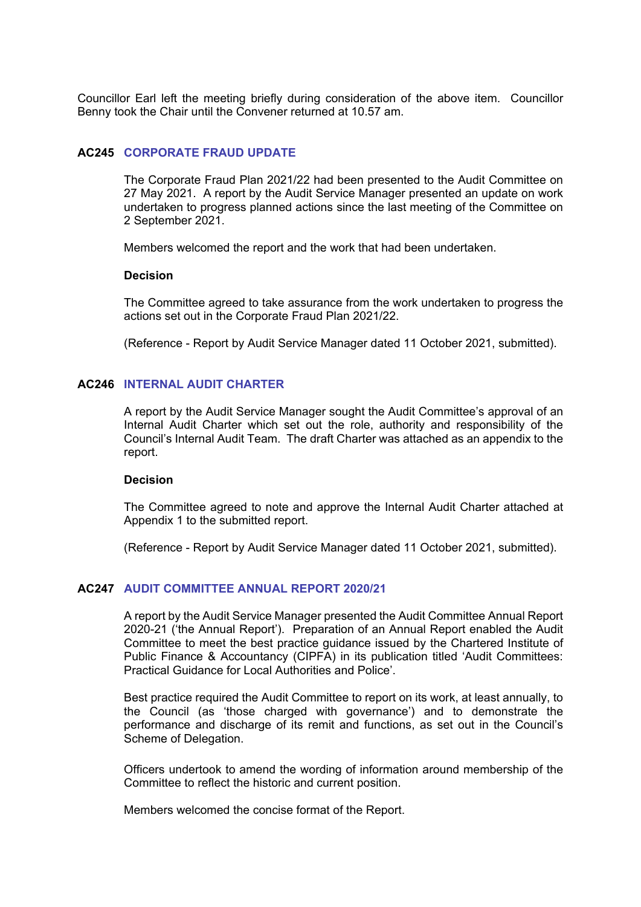Councillor Earl left the meeting briefly during consideration of the above item. Councillor Benny took the Chair until the Convener returned at 10.57 am.

### **AC245 CORPORATE FRAUD UPDATE**

The Corporate Fraud Plan 2021/22 had been presented to the Audit Committee on 27 May 2021. A report by the Audit Service Manager presented an update on work undertaken to progress planned actions since the last meeting of the Committee on 2 September 2021.

Members welcomed the report and the work that had been undertaken.

#### **Decision**

The Committee agreed to take assurance from the work undertaken to progress the actions set out in the Corporate Fraud Plan 2021/22.

(Reference - Report by Audit Service Manager dated 11 October 2021, submitted).

### **AC246 INTERNAL AUDIT CHARTER**

A report by the Audit Service Manager sought the Audit Committee's approval of an Internal Audit Charter which set out the role, authority and responsibility of the Council's Internal Audit Team. The draft Charter was attached as an appendix to the report.

#### **Decision**

The Committee agreed to note and approve the Internal Audit Charter attached at Appendix 1 to the submitted report.

(Reference - Report by Audit Service Manager dated 11 October 2021, submitted).

# **AC247 AUDIT COMMITTEE ANNUAL REPORT 2020/21**

A report by the Audit Service Manager presented the Audit Committee Annual Report 2020-21 ('the Annual Report'). Preparation of an Annual Report enabled the Audit Committee to meet the best practice guidance issued by the Chartered Institute of Public Finance & Accountancy (CIPFA) in its publication titled 'Audit Committees: Practical Guidance for Local Authorities and Police'.

Best practice required the Audit Committee to report on its work, at least annually, to the Council (as 'those charged with governance') and to demonstrate the performance and discharge of its remit and functions, as set out in the Council's Scheme of Delegation.

Officers undertook to amend the wording of information around membership of the Committee to reflect the historic and current position.

Members welcomed the concise format of the Report.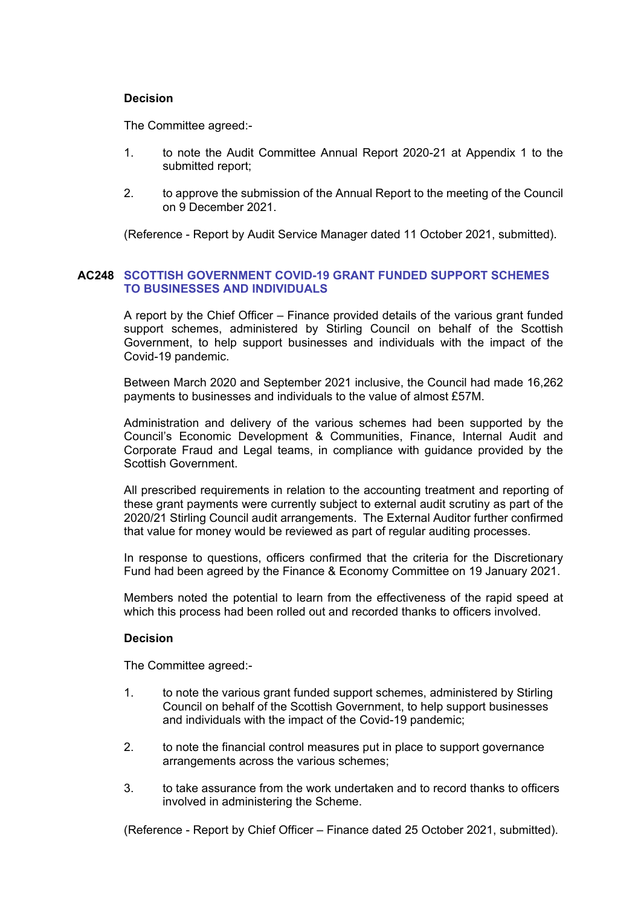# **Decision**

The Committee agreed:-

- 1. to note the Audit Committee Annual Report 2020-21 at Appendix 1 to the submitted report;
- 2. to approve the submission of the Annual Report to the meeting of the Council on 9 December 2021.

(Reference - Report by Audit Service Manager dated 11 October 2021, submitted).

# **AC248 SCOTTISH GOVERNMENT COVID-19 GRANT FUNDED SUPPORT SCHEMES TO BUSINESSES AND INDIVIDUALS**

A report by the Chief Officer – Finance provided details of the various grant funded support schemes, administered by Stirling Council on behalf of the Scottish Government, to help support businesses and individuals with the impact of the Covid-19 pandemic.

Between March 2020 and September 2021 inclusive, the Council had made 16,262 payments to businesses and individuals to the value of almost £57M.

Administration and delivery of the various schemes had been supported by the Council's Economic Development & Communities, Finance, Internal Audit and Corporate Fraud and Legal teams, in compliance with guidance provided by the Scottish Government.

All prescribed requirements in relation to the accounting treatment and reporting of these grant payments were currently subject to external audit scrutiny as part of the 2020/21 Stirling Council audit arrangements. The External Auditor further confirmed that value for money would be reviewed as part of regular auditing processes.

In response to questions, officers confirmed that the criteria for the Discretionary Fund had been agreed by the Finance & Economy Committee on 19 January 2021.

Members noted the potential to learn from the effectiveness of the rapid speed at which this process had been rolled out and recorded thanks to officers involved.

### **Decision**

The Committee agreed:-

- 1. to note the various grant funded support schemes, administered by Stirling Council on behalf of the Scottish Government, to help support businesses and individuals with the impact of the Covid-19 pandemic;
- 2. to note the financial control measures put in place to support governance arrangements across the various schemes;
- 3. to take assurance from the work undertaken and to record thanks to officers involved in administering the Scheme.

(Reference - Report by Chief Officer – Finance dated 25 October 2021, submitted).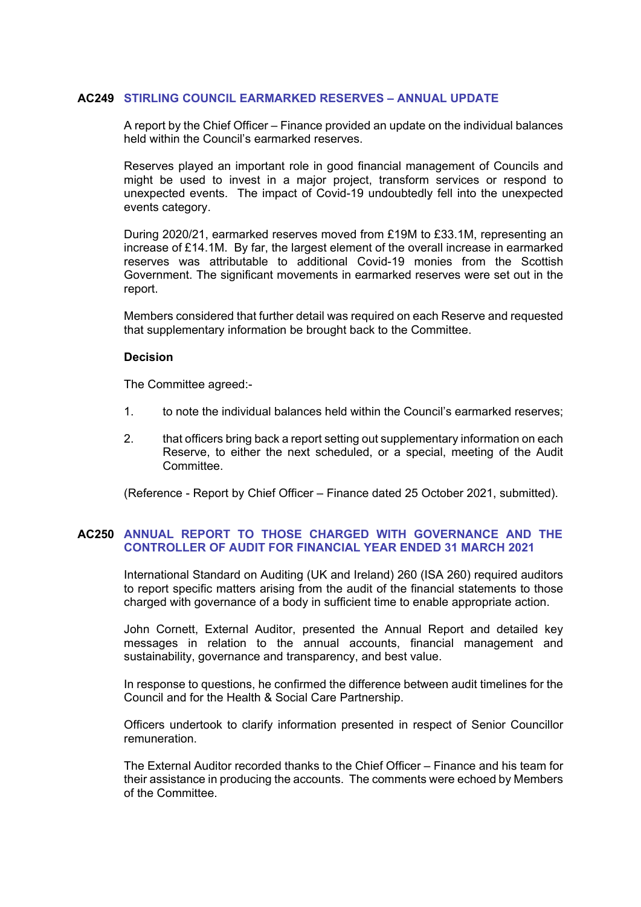# **AC249 STIRLING COUNCIL EARMARKED RESERVES – ANNUAL UPDATE**

A report by the Chief Officer – Finance provided an update on the individual balances held within the Council's earmarked reserves.

Reserves played an important role in good financial management of Councils and might be used to invest in a major project, transform services or respond to unexpected events. The impact of Covid-19 undoubtedly fell into the unexpected events category.

During 2020/21, earmarked reserves moved from £19M to £33.1M, representing an increase of £14.1M. By far, the largest element of the overall increase in earmarked reserves was attributable to additional Covid-19 monies from the Scottish Government. The significant movements in earmarked reserves were set out in the report.

Members considered that further detail was required on each Reserve and requested that supplementary information be brought back to the Committee.

### **Decision**

The Committee agreed:-

- 1. to note the individual balances held within the Council's earmarked reserves;
- 2. that officers bring back a report setting out supplementary information on each Reserve, to either the next scheduled, or a special, meeting of the Audit Committee.

(Reference - Report by Chief Officer – Finance dated 25 October 2021, submitted).

# **AC250 ANNUAL REPORT TO THOSE CHARGED WITH GOVERNANCE AND THE CONTROLLER OF AUDIT FOR FINANCIAL YEAR ENDED 31 MARCH 2021**

International Standard on Auditing (UK and Ireland) 260 (ISA 260) required auditors to report specific matters arising from the audit of the financial statements to those charged with governance of a body in sufficient time to enable appropriate action.

John Cornett, External Auditor, presented the Annual Report and detailed key messages in relation to the annual accounts, financial management and sustainability, governance and transparency, and best value.

In response to questions, he confirmed the difference between audit timelines for the Council and for the Health & Social Care Partnership.

Officers undertook to clarify information presented in respect of Senior Councillor remuneration.

The External Auditor recorded thanks to the Chief Officer – Finance and his team for their assistance in producing the accounts. The comments were echoed by Members of the Committee.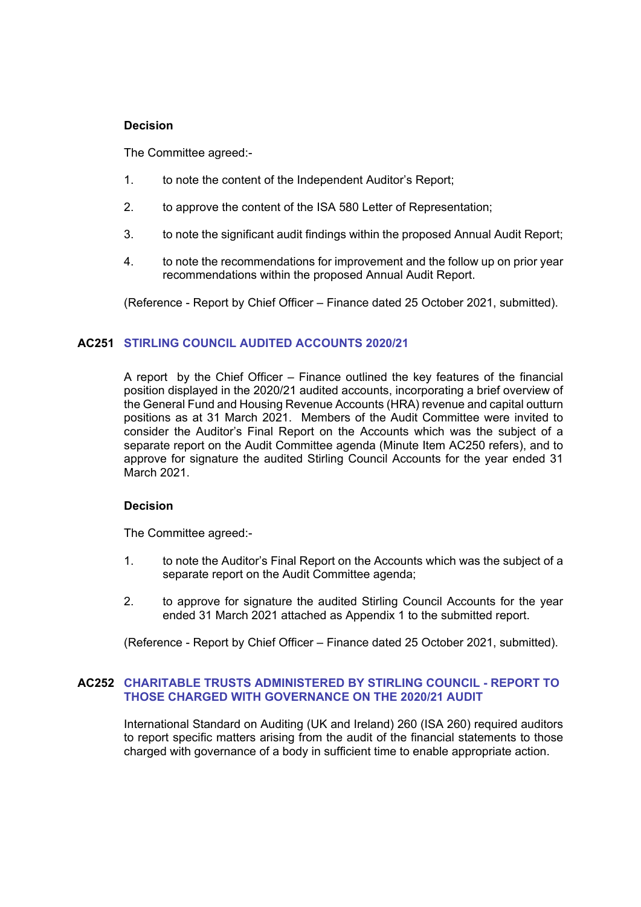# **Decision**

The Committee agreed:-

- 1. to note the content of the Independent Auditor's Report;
- 2. to approve the content of the ISA 580 Letter of Representation;
- 3. to note the significant audit findings within the proposed Annual Audit Report;
- 4. to note the recommendations for improvement and the follow up on prior year recommendations within the proposed Annual Audit Report.

(Reference - Report by Chief Officer – Finance dated 25 October 2021, submitted).

# **AC251 STIRLING COUNCIL AUDITED ACCOUNTS 2020/21**

A report by the Chief Officer – Finance outlined the key features of the financial position displayed in the 2020/21 audited accounts, incorporating a brief overview of the General Fund and Housing Revenue Accounts (HRA) revenue and capital outturn positions as at 31 March 2021. Members of the Audit Committee were invited to consider the Auditor's Final Report on the Accounts which was the subject of a separate report on the Audit Committee agenda (Minute Item AC250 refers), and to approve for signature the audited Stirling Council Accounts for the year ended 31 March 2021.

# **Decision**

The Committee agreed:-

- 1. to note the Auditor's Final Report on the Accounts which was the subject of a separate report on the Audit Committee agenda;
- 2. to approve for signature the audited Stirling Council Accounts for the year ended 31 March 2021 attached as Appendix 1 to the submitted report.

(Reference - Report by Chief Officer – Finance dated 25 October 2021, submitted).

# **AC252 CHARITABLE TRUSTS ADMINISTERED BY STIRLING COUNCIL - REPORT TO THOSE CHARGED WITH GOVERNANCE ON THE 2020/21 AUDIT**

International Standard on Auditing (UK and Ireland) 260 (ISA 260) required auditors to report specific matters arising from the audit of the financial statements to those charged with governance of a body in sufficient time to enable appropriate action.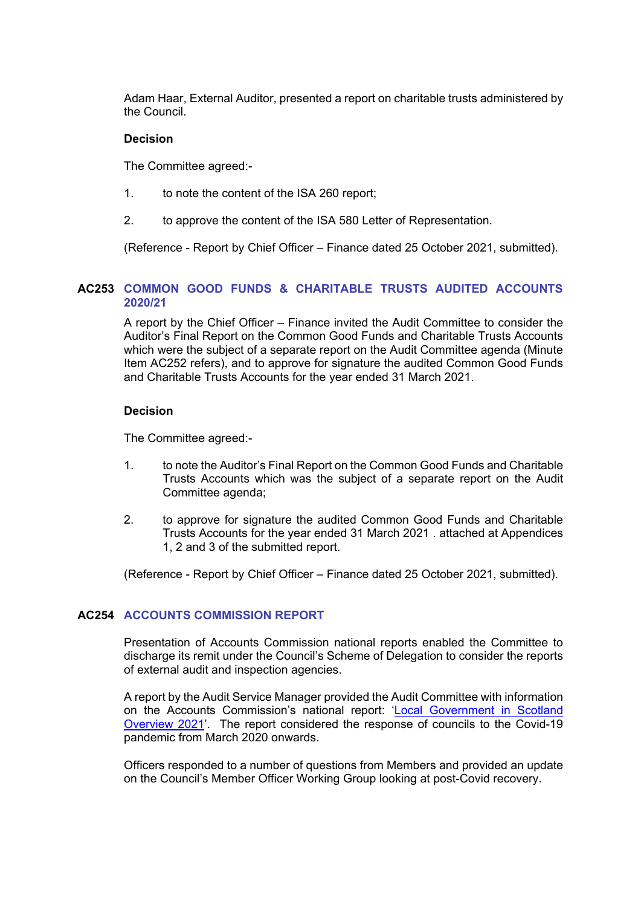Adam Haar, External Auditor, presented a report on charitable trusts administered by the Council.

# **Decision**

The Committee agreed:-

- 1. to note the content of the ISA 260 report;
- 2. to approve the content of the ISA 580 Letter of Representation.

(Reference - Report by Chief Officer – Finance dated 25 October 2021, submitted).

# **AC253 COMMON GOOD FUNDS & CHARITABLE TRUSTS AUDITED ACCOUNTS 2020/21**

A report by the Chief Officer – Finance invited the Audit Committee to consider the Auditor's Final Report on the Common Good Funds and Charitable Trusts Accounts which were the subject of a separate report on the Audit Committee agenda (Minute Item AC252 refers), and to approve for signature the audited Common Good Funds and Charitable Trusts Accounts for the year ended 31 March 2021.

# **Decision**

The Committee agreed:-

- 1. to note the Auditor's Final Report on the Common Good Funds and Charitable Trusts Accounts which was the subject of a separate report on the Audit Committee agenda;
- 2. to approve for signature the audited Common Good Funds and Charitable Trusts Accounts for the year ended 31 March 2021 . attached at Appendices 1, 2 and 3 of the submitted report.

(Reference - Report by Chief Officer – Finance dated 25 October 2021, submitted).

# **AC254 ACCOUNTS COMMISSION REPORT**

Presentation of Accounts Commission national reports enabled the Committee to discharge its remit under the Council's Scheme of Delegation to consider the reports of external audit and inspection agencies.

A report by the Audit Service Manager provided the Audit Committee with information on the Accounts Commission's national report: 'Local Government in Scotland Overview 2021'. The report considered the response of councils to the Covid-19 pandemic from March 2020 onwards.

Officers responded to a number of questions from Members and provided an update on the Council's Member Officer Working Group looking at post-Covid recovery.